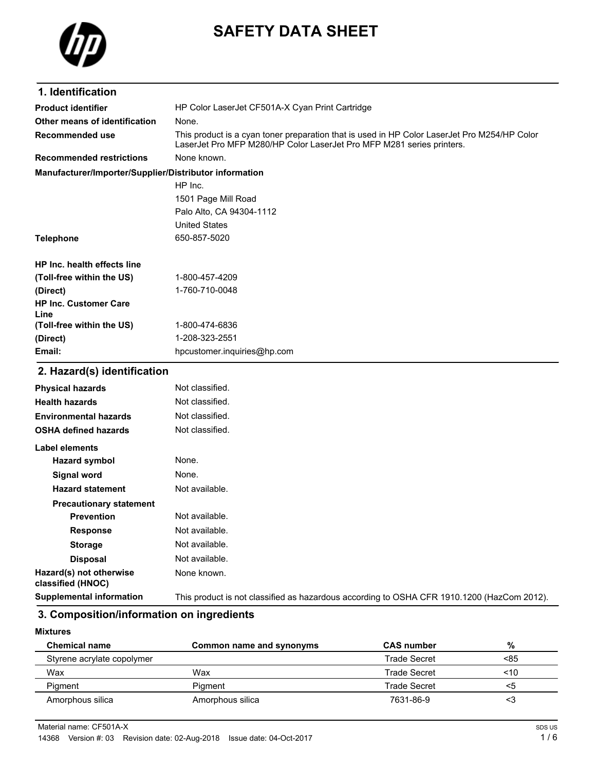

# **SAFETY DATA SHEET**

| 1. Identification                                      |                                                                                                                                                                       |
|--------------------------------------------------------|-----------------------------------------------------------------------------------------------------------------------------------------------------------------------|
| <b>Product identifier</b>                              | HP Color LaserJet CF501A-X Cyan Print Cartridge                                                                                                                       |
| Other means of identification                          | None.                                                                                                                                                                 |
| Recommended use                                        | This product is a cyan toner preparation that is used in HP Color LaserJet Pro M254/HP Color<br>LaserJet Pro MFP M280/HP Color LaserJet Pro MFP M281 series printers. |
| <b>Recommended restrictions</b>                        | None known.                                                                                                                                                           |
| Manufacturer/Importer/Supplier/Distributor information |                                                                                                                                                                       |
|                                                        | HP Inc.                                                                                                                                                               |
|                                                        | 1501 Page Mill Road                                                                                                                                                   |
|                                                        | Palo Alto, CA 94304-1112                                                                                                                                              |
|                                                        | <b>United States</b>                                                                                                                                                  |
| <b>Telephone</b>                                       | 650-857-5020                                                                                                                                                          |
|                                                        |                                                                                                                                                                       |
| HP Inc. health effects line                            |                                                                                                                                                                       |
| (Toll-free within the US)                              | 1-800-457-4209                                                                                                                                                        |
| (Direct)                                               | 1-760-710-0048                                                                                                                                                        |
| <b>HP Inc. Customer Care</b><br>Line                   |                                                                                                                                                                       |
| (Toll-free within the US)                              | 1-800-474-6836                                                                                                                                                        |
| (Direct)                                               | 1-208-323-2551                                                                                                                                                        |
| Email:                                                 | hpcustomer.inquiries@hp.com                                                                                                                                           |
| 2. Hazard(s) identification                            |                                                                                                                                                                       |
| <b>Physical hazards</b>                                | Not classified.                                                                                                                                                       |
| <b>Health hazards</b>                                  | Not classified.                                                                                                                                                       |
| <b>Environmental hazards</b>                           | Not classified.                                                                                                                                                       |
| <b>OSHA defined hazards</b>                            | Not classified.                                                                                                                                                       |
| <b>Label elements</b>                                  |                                                                                                                                                                       |
| <b>Hazard symbol</b>                                   | None.                                                                                                                                                                 |
| Signal word                                            | None.                                                                                                                                                                 |
| <b>Hazard statement</b>                                | Not available.                                                                                                                                                        |
| <b>Precautionary statement</b>                         |                                                                                                                                                                       |
| Prevention                                             | Not available.                                                                                                                                                        |
| <b>Response</b>                                        | Not available.                                                                                                                                                        |
| <b>Storage</b>                                         | Not available.                                                                                                                                                        |
| <b>Disposal</b>                                        | Not available.                                                                                                                                                        |
| Hazard(s) not otherwise<br>classified (HNOC)           | None known.                                                                                                                                                           |
| <b>Supplemental information</b>                        | This product is not classified as hazardous according to OSHA CFR 1910.1200 (HazCom 2012).                                                                            |

#### **3. Composition/information on ingredients**

**Mixtures**

| <b>Chemical name</b>       | Common name and synonyms | <b>CAS</b> number   | %   |
|----------------------------|--------------------------|---------------------|-----|
| Styrene acrylate copolymer |                          | <b>Trade Secret</b> | <85 |
| Wax                        | Wax                      | <b>Trade Secret</b> | ~10 |
| Pigment                    | Piament                  | <b>Trade Secret</b> | ה>  |
| Amorphous silica           | Amorphous silica         | 7631-86-9           | د>  |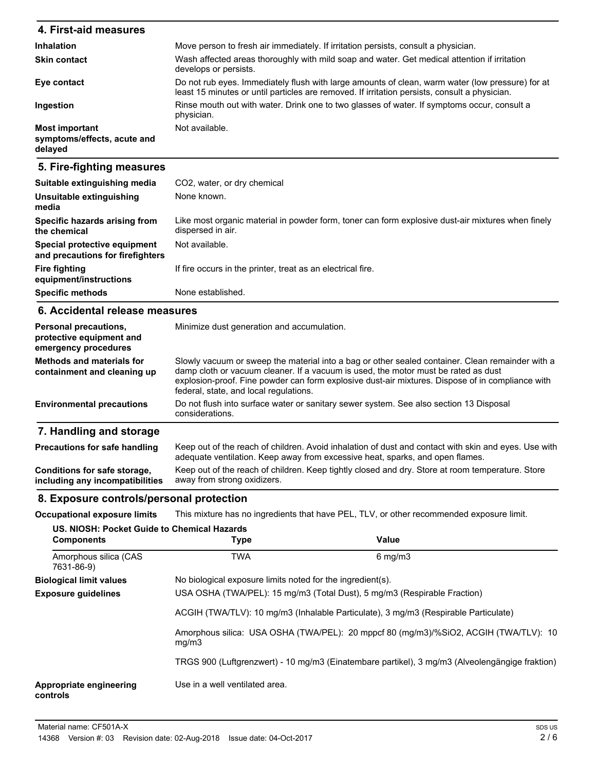| 4. First-aid measures                                           |                                                                                                                                                                                                   |  |  |  |
|-----------------------------------------------------------------|---------------------------------------------------------------------------------------------------------------------------------------------------------------------------------------------------|--|--|--|
| <b>Inhalation</b>                                               | Move person to fresh air immediately. If irritation persists, consult a physician.                                                                                                                |  |  |  |
| <b>Skin contact</b>                                             | Wash affected areas thoroughly with mild soap and water. Get medical attention if irritation<br>develops or persists.                                                                             |  |  |  |
| Eye contact                                                     | Do not rub eyes. Immediately flush with large amounts of clean, warm water (low pressure) for at<br>least 15 minutes or until particles are removed. If irritation persists, consult a physician. |  |  |  |
| Ingestion                                                       | Rinse mouth out with water. Drink one to two glasses of water. If symptoms occur, consult a<br>physician.                                                                                         |  |  |  |
| <b>Most important</b><br>symptoms/effects, acute and<br>delayed | Not available.                                                                                                                                                                                    |  |  |  |
| 5. Fire-fighting measures                                       |                                                                                                                                                                                                   |  |  |  |
| Suitable extinguishing media                                    | CO <sub>2</sub> , water, or dry chemical                                                                                                                                                          |  |  |  |
| Ilnsuitable extinguishing                                       | None known                                                                                                                                                                                        |  |  |  |

| Unsuitable extinguishing<br>media                                | None known.                                                                                                            |
|------------------------------------------------------------------|------------------------------------------------------------------------------------------------------------------------|
| Specific hazards arising from<br>the chemical                    | Like most organic material in powder form, toner can form explosive dust-air mixtures when finely<br>dispersed in air. |
| Special protective equipment<br>and precautions for firefighters | Not available.                                                                                                         |
| <b>Fire fighting</b><br>equipment/instructions                   | If fire occurs in the printer, treat as an electrical fire.                                                            |
| <b>Specific methods</b>                                          | None established.                                                                                                      |

#### **6. Accidental release measures**

| <b>Personal precautions,</b><br>protective equipment and<br>emergency procedures | Minimize dust generation and accumulation.                                                                                                                                                                                                                                                                                           |  |  |  |
|----------------------------------------------------------------------------------|--------------------------------------------------------------------------------------------------------------------------------------------------------------------------------------------------------------------------------------------------------------------------------------------------------------------------------------|--|--|--|
| <b>Methods and materials for</b><br>containment and cleaning up                  | Slowly vacuum or sweep the material into a bag or other sealed container. Clean remainder with a<br>damp cloth or vacuum cleaner. If a vacuum is used, the motor must be rated as dust<br>explosion-proof. Fine powder can form explosive dust-air mixtures. Dispose of in compliance with<br>federal, state, and local regulations. |  |  |  |
| <b>Environmental precautions</b>                                                 | Do not flush into surface water or sanitary sewer system. See also section 13 Disposal<br>considerations.                                                                                                                                                                                                                            |  |  |  |
| 7. Handling and storage                                                          |                                                                                                                                                                                                                                                                                                                                      |  |  |  |
| <b>Precautions for safe handling</b>                                             | Keep out of the reach of children. Avoid inhalation of dust and contact with skin and eyes. Use with<br>adequate ventilation. Keep away from excessive heat, sparks, and open flames.                                                                                                                                                |  |  |  |
| Conditions for safe storage.                                                     | Keep out of the reach of children. Keep tightly closed and dry. Store at room temperature. Store                                                                                                                                                                                                                                     |  |  |  |

| Conditions for safe storage,    |                             |  | Keep out of the reach of children. Keep tightly closed and dry. Store at room temperature. Store |
|---------------------------------|-----------------------------|--|--------------------------------------------------------------------------------------------------|
| including any incompatibilities | away from strong oxidizers. |  |                                                                                                  |

## **8. Exposure controls/personal protection**

**Occupational exposure limits** This mixture has no ingredients that have PEL, TLV, or other recommended exposure limit.

| US. NIOSH: Pocket Guide to Chemical Hazards<br><b>Components</b> | <b>Type</b>                                                                                   | Value                                                                                          |  |  |
|------------------------------------------------------------------|-----------------------------------------------------------------------------------------------|------------------------------------------------------------------------------------------------|--|--|
| Amorphous silica (CAS<br>7631-86-9)                              | <b>TWA</b>                                                                                    | $6 \text{ mg/m}$                                                                               |  |  |
| <b>Biological limit values</b>                                   |                                                                                               | No biological exposure limits noted for the ingredient(s).                                     |  |  |
| <b>Exposure guidelines</b>                                       | USA OSHA (TWA/PEL): 15 mg/m3 (Total Dust), 5 mg/m3 (Respirable Fraction)                      |                                                                                                |  |  |
|                                                                  | ACGIH (TWA/TLV): 10 mg/m3 (Inhalable Particulate), 3 mg/m3 (Respirable Particulate)           |                                                                                                |  |  |
|                                                                  | Amorphous silica: USA OSHA (TWA/PEL): 20 mppcf 80 (mg/m3)/%SiO2, ACGIH (TWA/TLV): 10<br>mq/m3 |                                                                                                |  |  |
|                                                                  |                                                                                               | TRGS 900 (Luftgrenzwert) - 10 mg/m3 (Einatembare partikel), 3 mg/m3 (Alveolengängige fraktion) |  |  |
| Appropriate engineering<br>controls                              | Use in a well ventilated area.                                                                |                                                                                                |  |  |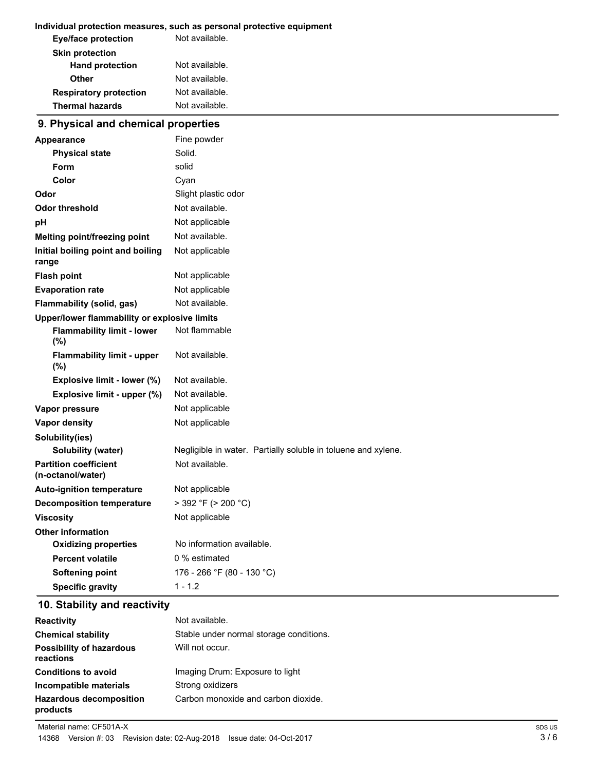#### **Individual protection measures, such as personal protective equipment**

| <b>Eye/face protection</b>    | Not available. |
|-------------------------------|----------------|
| <b>Skin protection</b>        |                |
| <b>Hand protection</b>        | Not available. |
| Other                         | Not available. |
| <b>Respiratory protection</b> | Not available. |
| <b>Thermal hazards</b>        | Not available. |

### **9. Physical and chemical properties**

| Appearance                                        | Fine powder                                                   |  |  |  |
|---------------------------------------------------|---------------------------------------------------------------|--|--|--|
| <b>Physical state</b>                             | Solid.                                                        |  |  |  |
| Form                                              | solid                                                         |  |  |  |
| Color                                             | Cyan                                                          |  |  |  |
| Odor                                              | Slight plastic odor                                           |  |  |  |
| <b>Odor threshold</b>                             | Not available.                                                |  |  |  |
| pH                                                | Not applicable                                                |  |  |  |
| Melting point/freezing point                      | Not available.                                                |  |  |  |
| Initial boiling point and boiling<br>range        | Not applicable                                                |  |  |  |
| <b>Flash point</b>                                | Not applicable                                                |  |  |  |
| <b>Evaporation rate</b>                           | Not applicable                                                |  |  |  |
| Flammability (solid, gas)                         | Not available.                                                |  |  |  |
| Upper/lower flammability or explosive limits      |                                                               |  |  |  |
| <b>Flammability limit - lower</b><br>$(\% )$      | Not flammable                                                 |  |  |  |
| <b>Flammability limit - upper</b><br>$(\% )$      | Not available.                                                |  |  |  |
| Explosive limit - lower (%)                       | Not available.                                                |  |  |  |
| Explosive limit - upper (%)                       | Not available.                                                |  |  |  |
| Vapor pressure                                    | Not applicable                                                |  |  |  |
| <b>Vapor density</b>                              | Not applicable                                                |  |  |  |
| Solubility(ies)                                   |                                                               |  |  |  |
| Solubility (water)                                | Negligible in water. Partially soluble in toluene and xylene. |  |  |  |
| <b>Partition coefficient</b><br>(n-octanol/water) | Not available.                                                |  |  |  |
| <b>Auto-ignition temperature</b>                  | Not applicable                                                |  |  |  |
| <b>Decomposition temperature</b>                  | $>$ 392 °F ( $>$ 200 °C)                                      |  |  |  |
| <b>Viscosity</b>                                  | Not applicable                                                |  |  |  |
| <b>Other information</b>                          |                                                               |  |  |  |
| <b>Oxidizing properties</b>                       | No information available.                                     |  |  |  |
| <b>Percent volatile</b>                           | 0 % estimated                                                 |  |  |  |
| <b>Softening point</b>                            | 176 - 266 °F (80 - 130 °C)                                    |  |  |  |
| <b>Specific gravity</b>                           | $1 - 1.2$                                                     |  |  |  |

### **10. Stability and reactivity**

| <b>Reactivity</b>                            | Not available.                          |
|----------------------------------------------|-----------------------------------------|
| <b>Chemical stability</b>                    | Stable under normal storage conditions. |
| <b>Possibility of hazardous</b><br>reactions | Will not occur.                         |
| <b>Conditions to avoid</b>                   | Imaging Drum: Exposure to light         |
| Incompatible materials                       | Strong oxidizers                        |
| <b>Hazardous decomposition</b><br>products   | Carbon monoxide and carbon dioxide.     |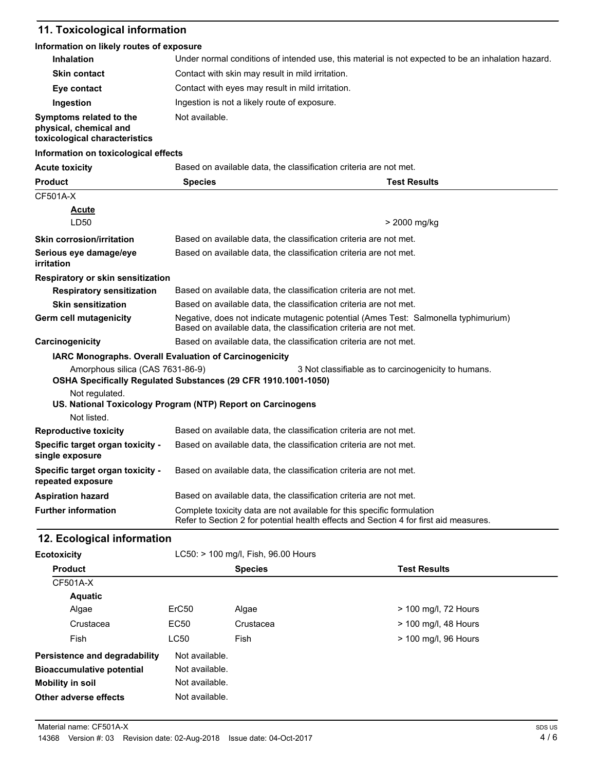## **11. Toxicological information**

#### **Information on likely routes of exposure**

| <b>Inhalation</b>                                                                  | Under normal conditions of intended use, this material is not expected to be an inhalation hazard.                                                              |                                                     |  |
|------------------------------------------------------------------------------------|-----------------------------------------------------------------------------------------------------------------------------------------------------------------|-----------------------------------------------------|--|
| <b>Skin contact</b>                                                                | Contact with skin may result in mild irritation.                                                                                                                |                                                     |  |
| Eye contact                                                                        | Contact with eyes may result in mild irritation.                                                                                                                |                                                     |  |
| Ingestion                                                                          | Ingestion is not a likely route of exposure.                                                                                                                    |                                                     |  |
| Symptoms related to the<br>physical, chemical and<br>toxicological characteristics | Not available.                                                                                                                                                  |                                                     |  |
| Information on toxicological effects                                               |                                                                                                                                                                 |                                                     |  |
| <b>Acute toxicity</b>                                                              | Based on available data, the classification criteria are not met.                                                                                               |                                                     |  |
| <b>Product</b>                                                                     | <b>Species</b>                                                                                                                                                  | <b>Test Results</b>                                 |  |
| CF501A-X                                                                           |                                                                                                                                                                 |                                                     |  |
| <u>Acute</u><br>LD50                                                               |                                                                                                                                                                 | > 2000 mg/kg                                        |  |
| <b>Skin corrosion/irritation</b>                                                   | Based on available data, the classification criteria are not met.                                                                                               |                                                     |  |
| Serious eye damage/eye<br>irritation                                               | Based on available data, the classification criteria are not met.                                                                                               |                                                     |  |
| Respiratory or skin sensitization                                                  |                                                                                                                                                                 |                                                     |  |
| <b>Respiratory sensitization</b>                                                   | Based on available data, the classification criteria are not met.                                                                                               |                                                     |  |
| <b>Skin sensitization</b>                                                          | Based on available data, the classification criteria are not met.                                                                                               |                                                     |  |
| Germ cell mutagenicity                                                             | Negative, does not indicate mutagenic potential (Ames Test: Salmonella typhimurium)<br>Based on available data, the classification criteria are not met.        |                                                     |  |
| Carcinogenicity                                                                    | Based on available data, the classification criteria are not met.                                                                                               |                                                     |  |
| IARC Monographs. Overall Evaluation of Carcinogenicity                             |                                                                                                                                                                 |                                                     |  |
| Amorphous silica (CAS 7631-86-9)                                                   | OSHA Specifically Regulated Substances (29 CFR 1910.1001-1050)                                                                                                  | 3 Not classifiable as to carcinogenicity to humans. |  |
| Not regulated.<br>Not listed.                                                      | US. National Toxicology Program (NTP) Report on Carcinogens                                                                                                     |                                                     |  |
| <b>Reproductive toxicity</b>                                                       | Based on available data, the classification criteria are not met.                                                                                               |                                                     |  |
| Specific target organ toxicity -<br>single exposure                                | Based on available data, the classification criteria are not met.                                                                                               |                                                     |  |
| Specific target organ toxicity -<br>repeated exposure                              | Based on available data, the classification criteria are not met.                                                                                               |                                                     |  |
| <b>Aspiration hazard</b>                                                           | Based on available data, the classification criteria are not met.                                                                                               |                                                     |  |
| <b>Further information</b>                                                         | Complete toxicity data are not available for this specific formulation<br>Refer to Section 2 for potential health effects and Section 4 for first aid measures. |                                                     |  |

### **12. Ecological information**

| <b>Ecotoxicity</b>               |                   | LC50: > 100 mg/l, Fish, 96.00 Hours |                      |  |
|----------------------------------|-------------------|-------------------------------------|----------------------|--|
| <b>Product</b>                   |                   | <b>Species</b>                      | <b>Test Results</b>  |  |
| CF501A-X                         |                   |                                     |                      |  |
| <b>Aquatic</b>                   |                   |                                     |                      |  |
| Algae                            | ErC <sub>50</sub> | Algae                               | > 100 mg/l, 72 Hours |  |
| Crustacea                        | EC50              | Crustacea                           | > 100 mg/l, 48 Hours |  |
| Fish                             | <b>LC50</b>       | Fish                                | > 100 mg/l, 96 Hours |  |
| Persistence and degradability    | Not available.    |                                     |                      |  |
| <b>Bioaccumulative potential</b> | Not available.    |                                     |                      |  |
| <b>Mobility in soil</b>          | Not available.    |                                     |                      |  |
| Other adverse effects            | Not available.    |                                     |                      |  |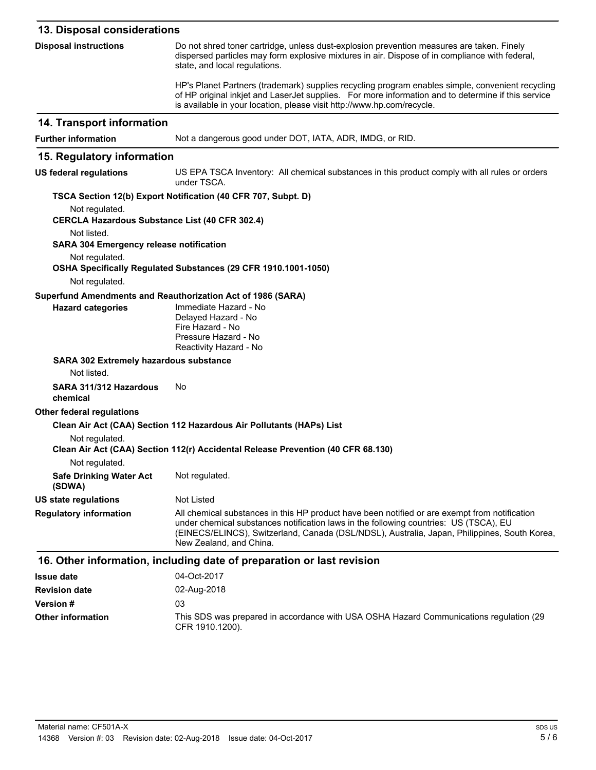| 13. Disposal considerations |
|-----------------------------|
|-----------------------------|

| <b>Disposal instructions</b>                                            | Do not shred toner cartridge, unless dust-explosion prevention measures are taken. Finely<br>dispersed particles may form explosive mixtures in air. Dispose of in compliance with federal,<br>state, and local regulations.                                                                                      |
|-------------------------------------------------------------------------|-------------------------------------------------------------------------------------------------------------------------------------------------------------------------------------------------------------------------------------------------------------------------------------------------------------------|
|                                                                         | HP's Planet Partners (trademark) supplies recycling program enables simple, convenient recycling<br>of HP original inkjet and LaserJet supplies. For more information and to determine if this service<br>is available in your location, please visit http://www.hp.com/recycle.                                  |
| 14. Transport information                                               |                                                                                                                                                                                                                                                                                                                   |
| <b>Further information</b>                                              | Not a dangerous good under DOT, IATA, ADR, IMDG, or RID.                                                                                                                                                                                                                                                          |
| 15. Regulatory information                                              |                                                                                                                                                                                                                                                                                                                   |
| <b>US federal regulations</b>                                           | US EPA TSCA Inventory: All chemical substances in this product comply with all rules or orders<br>under TSCA.                                                                                                                                                                                                     |
|                                                                         | TSCA Section 12(b) Export Notification (40 CFR 707, Subpt. D)                                                                                                                                                                                                                                                     |
| Not regulated.<br><b>CERCLA Hazardous Substance List (40 CFR 302.4)</b> |                                                                                                                                                                                                                                                                                                                   |
| Not listed.<br><b>SARA 304 Emergency release notification</b>           |                                                                                                                                                                                                                                                                                                                   |
| Not regulated.                                                          | OSHA Specifically Regulated Substances (29 CFR 1910.1001-1050)                                                                                                                                                                                                                                                    |
| Not regulated.                                                          |                                                                                                                                                                                                                                                                                                                   |
|                                                                         | Superfund Amendments and Reauthorization Act of 1986 (SARA)                                                                                                                                                                                                                                                       |
| <b>Hazard categories</b>                                                | Immediate Hazard - No<br>Delayed Hazard - No<br>Fire Hazard - No<br>Pressure Hazard - No<br>Reactivity Hazard - No                                                                                                                                                                                                |
| SARA 302 Extremely hazardous substance                                  |                                                                                                                                                                                                                                                                                                                   |
| Not listed.                                                             |                                                                                                                                                                                                                                                                                                                   |
| SARA 311/312 Hazardous<br>chemical                                      | No                                                                                                                                                                                                                                                                                                                |
| <b>Other federal regulations</b>                                        |                                                                                                                                                                                                                                                                                                                   |
|                                                                         | Clean Air Act (CAA) Section 112 Hazardous Air Pollutants (HAPs) List                                                                                                                                                                                                                                              |
| Not regulated.                                                          | Clean Air Act (CAA) Section 112(r) Accidental Release Prevention (40 CFR 68.130)                                                                                                                                                                                                                                  |
| Not regulated.                                                          |                                                                                                                                                                                                                                                                                                                   |
| <b>Safe Drinking Water Act</b><br>(SDWA)                                | Not regulated.                                                                                                                                                                                                                                                                                                    |
| <b>US state regulations</b>                                             | <b>Not Listed</b>                                                                                                                                                                                                                                                                                                 |
| <b>Regulatory information</b>                                           | All chemical substances in this HP product have been notified or are exempt from notification<br>under chemical substances notification laws in the following countries: US (TSCA), EU<br>(EINECS/ELINCS), Switzerland, Canada (DSL/NDSL), Australia, Japan, Philippines, South Korea,<br>New Zealand, and China. |
|                                                                         | 16. Other information, including date of preparation or last revision                                                                                                                                                                                                                                             |
| <b>Issue date</b>                                                       | 04-Oct-2017                                                                                                                                                                                                                                                                                                       |
| <b>Revision date</b>                                                    | 02-Aug-2018                                                                                                                                                                                                                                                                                                       |
| <b>Version#</b>                                                         | 03                                                                                                                                                                                                                                                                                                                |

This SDS was prepared in accordance with USA OSHA Hazard Communications regulation (29 CFR 1910.1200). **Other information**